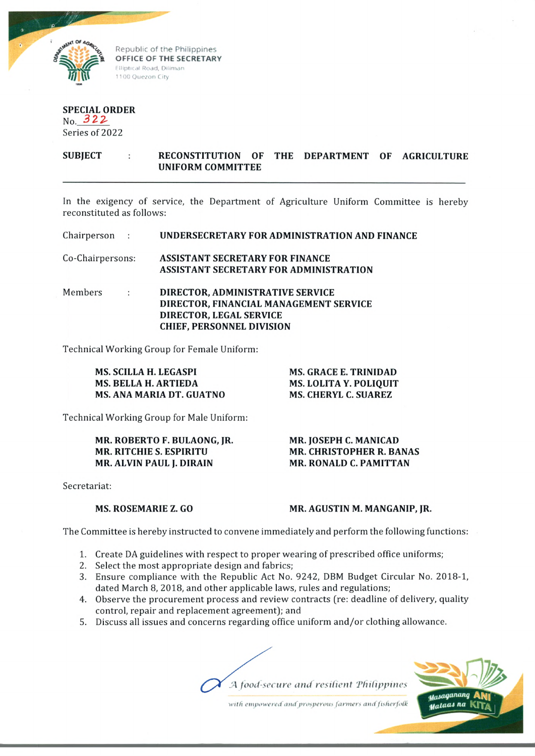

**OFFICE OF THE SECRETARY** Elliptical Road, Diliman 1100 Quezon City

## **SPECIAL ORDER** No. 322

Series of 2022

**SUBJECT RECONSTITUTION OF THE DEPARTMENT OF AGRICULTURE UNIFORM COMMITTEE**

In the exigency of service, the Department of Agriculture Uniform Committee is hereby reconstituted as follows:

| Chairperson :    |                | UNDERSECRETARY FOR ADMINISTRATION AND FINANC                                                                                              |
|------------------|----------------|-------------------------------------------------------------------------------------------------------------------------------------------|
| Co-Chairpersons: |                | <b>ASSISTANT SECRETARY FOR FINANCE</b><br><b>ASSISTANT SECRETARY FOR ADMINISTRATION</b>                                                   |
| Members          | <b>COLLECT</b> | DIRECTOR, ADMINISTRATIVE SERVICE<br>DIRECTOR, FINANCIAL MANAGEMENT SERVICE<br>DIRECTOR, LEGAL SERVICE<br><b>CHIEF, PERSONNEL DIVISION</b> |

Technical Working Group for Female Uniform:

| MS. SCILLA H. LEGASPI           | <b>MS. GRACE E. TRINIDAD</b>  |
|---------------------------------|-------------------------------|
| <b>MS. BELLA H. ARTIEDA</b>     | <b>MS. LOLITA Y. POLIQUIT</b> |
| <b>MS. ANA MARIA DT. GUATNO</b> | <b>MS. CHERYL C. SUAREZ</b>   |

Technical Working Group for Male Uniform:

**MR. ROBERTO F. BULAONG, JR. MR. RITCHIE S. ESPIRITU MR. ALVIN PAUL J. DIRAIN**

**MR. JOSEPH C. MANICAD MR. CHRISTOPHER R. BANAS MR. RONALD C. PAMITTAN**

Secretariat:

## **MS. ROSEMARIE Z. GO**

**MR. AGUSTIN M. MANGANIP, JR.**

The Committee is hereby instructed to convene immediately and perform the following functions:

- 1. Create DA guidelines with respect to proper wearing of prescribed office uniforms;
- 2. Select the most appropriate design and fabrics;
- 3. Ensure compliance with the Republic Act No. 9242, DBM Budget Circular No. 2018-1, dated March 8, 2018, and other applicable laws, rules and regulations;
- 4. Observe the procurement process and review contracts (re: deadline of delivery, quality control, repair and replacement agreement); and
- 5. Discuss all issues and concerns regarding office uniform and/or clothing allowance.





with empowered and prosperous farmers and fisherfolk